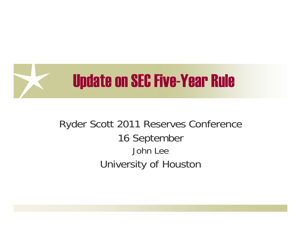

#### Ryder Scott 2011 Reserves Conference 16 September John LeeUniversity of Houston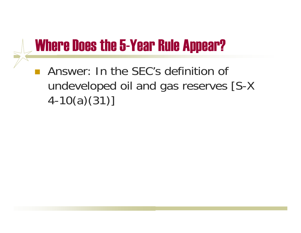### Where Does the 5-Year Rule Appear?

**Answer: In the SEC's definition of** undeveloped oil and gas reserves [S-X 4-10(a)(31)]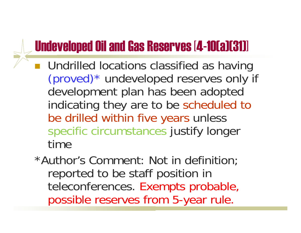### Undeveloped Oil and Gas Reserves [4-10(a)(31)]

- **Undrilled locations classified as having** (proved)\* undeveloped reserves only if development plan has been adopted indicating they are to be scheduled to be drilled within five years unless specific circumstances justify longer time
	- \*Author's Comment: Not in definition; reported to be staff position in teleconferences. Exempts probable, possible reserves from 5-year rule.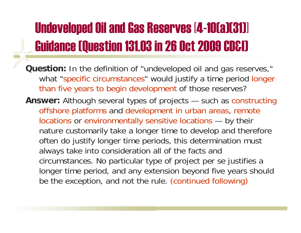## Undeveloped Oil and Gas Reserves [4-10(a)(31)] Guidance (Question 131.03 in 26 Oct 2009 CD&I)

- **Question:** In the definition of "undeveloped oil and gas reserves," what "specific circumstances" would justify a time period longer than five years to begin development of those reserves?
- **Answer:** Although several types of projects such as constructing offshore platforms and development in urban areas, remote locations or environmentally sensitive locations — by their nature customarily take a longer time to develop and therefore often do justify longer time periods, this determination must always take into consideration all of the facts and circumstances. No particular type of project per se justifies a longer time period, and any extension beyond five years should be the exception, and not the rule. (continued following)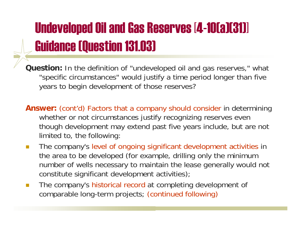## Undeveloped Oil and Gas Reserves [4-10(a)(31)] Guidance (Question 131.03)

**Question:** In the definition of "undeveloped oil and gas reserves," what "specific circumstances" would justify a time period longer than five years to begin development of those reserves?

- **Answer:** (cont'd) Factors that a company should consider in determining whether or not circumstances justify recognizing reserves even though development may extend past five years include, but are not limited to, the following:
- $\mathcal{O}(\mathbb{R}^d)$  The company's level of ongoing significant development activities in the area to be developed (for example, drilling only the minimum number of wells necessary to maintain the lease generally would not constitute significant development activities);
- $\mathcal{L}^{\mathcal{A}}$  The company's historical record at completing development of comparable long-term projects; (continued following)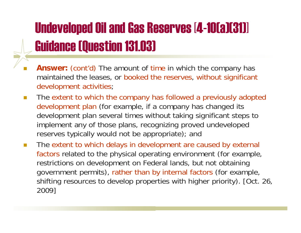### Undeveloped Oil and Gas Reserves [4-10(a)(31)] Guidance (Question 131.03)

- $\Box$ **Answer:** (cont'd) The amount of time in which the company has maintained the leases, or booked the reserves, without significant development activities;
- $\Box$  The extent to which the company has followed a previously adopted development plan (for example, if a company has changed its development plan several times without taking significant steps to implement any of those plans, recognizing proved undeveloped reserves typically would not be appropriate); and
- П The extent to which delays in development are caused by external factors related to the physical operating environment (for example, restrictions on development on Federal lands, but not obtaining government permits), rather than by internal factors (for example, shifting resources to develop properties with higher priority). [Oct. 26, 2009]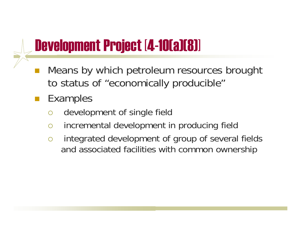## Development Project [4-10(a)(8)]

- $\mathbb{R}^2$  Means by which petroleum resources brought to status of "economically producible"
- $\mathbb{R}^2$  Examples
	- $\bigcirc$ development of single field
	- $\bigcap$ incremental development in producing field
	- $\bigcirc$  integrated development of group of several fields and associated facilities with common ownership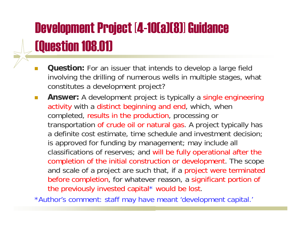### Development Project [4-10(a)(8)] Guidance (Question 108.01)

- T. **Question:** For an issuer that intends to develop a large field involving the drilling of numerous wells in multiple stages, what constitutes a development project?
- $\mathcal{L}^{\mathcal{L}}$  **Answer:** A development project is typically a single engineering activity with a distinct beginning and end, which, when completed, results in the production, processing or transportation of crude oil or natural gas. A project typically has a definite cost estimate, time schedule and investment decision; is approved for funding by management; may include all classifications of reserves; and will be fully operational after the completion of the initial construction or development. The scope and scale of a project are such that, if a project were terminated before completion, for whatever reason, a significant portion of the previously invested capital \* would be lost.

\*Author's comment: staff may have meant 'development capital.'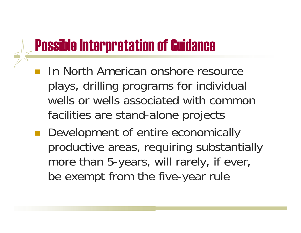### Possible Interpretation of Guidance

- **In North American onshore resource** plays, drilling programs for individual wells or wells associated with common facilities are stand-alone projects
- $\mathbb{R}^n$  Development of entire economically productive areas, requiring substantially more than 5-years, will rarely, if ever, be exempt from the five-year rule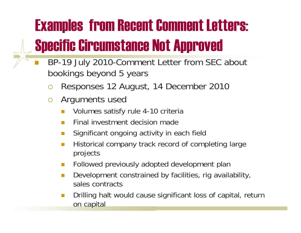# Examples from Recent Comment Letters: Specific Circumstance Not Approved

- T. BP-19 July 2010-Comment Letter from SEC about bookings beyond 5 years
	- $\bigcirc$ Responses 12 August, 14 December 2010
	- ${\color{blue}\bigcirc}$  Arguments used
		- П Volumes satisfy rule 4-10 criteria
		- П Final investment decision made
		- П Significant ongoing activity in each field
		- П Historical company track record of completing large projects
		- Followed previously adopted development plan
		- P. Development constrained by facilities, rig availability, sales contracts
		- П Drilling halt would cause significant loss of capital, return on capital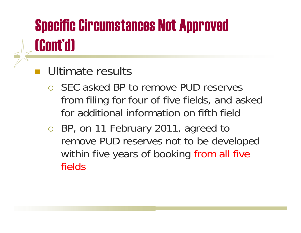## Specific Circumstances Not Approved (Cont'd)

### **Ultimate results**

- { SEC asked BP to remove PUD reserves from filing for four of five fields, and asked for additional information on fifth field
- o BP, on 11 February 2011, agreed to remove PUD reserves not to be developed within five years of booking from all five fields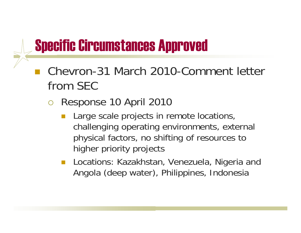### Specific Circumstances Approved

- Chevron-31 March 2010-Comment letter from SEC
	- ${\bigcirc}$  Response 10 April 2010
		- **Large scale projects in remote locations,** challenging operating environments, external physical factors, no shifting of resources to higher priority projects
		- **Locations: Kazakhstan, Venezuela, Nigeria and** Angola (deep water), Philippines, Indonesia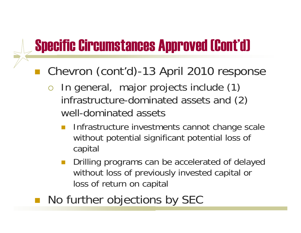### Specific Circumstances Approved (Cont'd)

■ Chevron (cont'd)-13 April 2010 response

- ${\color{blue}\bigcirc}$  In general, major projects include (1) infrastructure-dominated assets and (2) well-dominated assets
	- Infrastructure investments cannot change scale without potential significant potential loss of capital
	- $\mathcal{L}^{\text{max}}_{\text{max}}$  Drilling programs can be accelerated of delayed without loss of previously invested capital or loss of return on capital
- ■ No further objections by SEC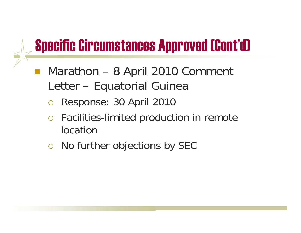### Specific Circumstances Approved (Cont'd)

- $\mathcal{L}(\mathcal{L})$  Marathon – 8 April 2010 Comment Letter – Equatorial Guinea
	- ${\bigcirc}$ Response: 30 April 2010
	- ${\bigcirc}$  Facilities-limited production in remote location
	- o No further objections by SEC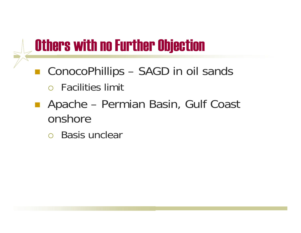## Others with no Further Objection

- ■ ConocoPhillips – SAGD in oil sands
	- $\circ$  Facilities limit
- ■ Apache – Permian Basin, Gulf Coast onshore
	- $\circ$  Basis unclear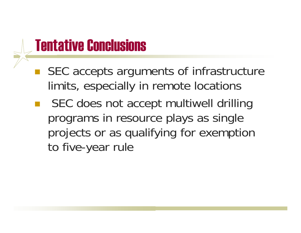### Tentative Conclusions

- ■ SEC accepts arguments of infrastructure limits, especially in remote locations
- SEC does not accept multiwell drilling programs in resource plays as single projects or as qualifying for exemption to five-year rule